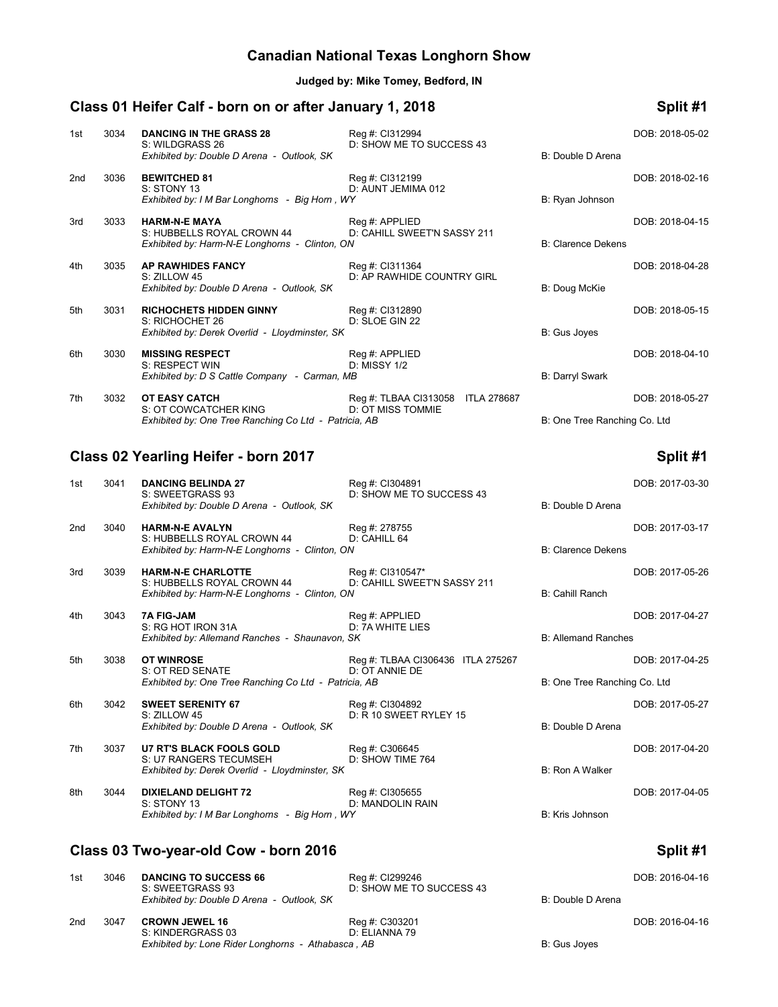# **Canadian National Texas Longhorn Show**

**Judged by: Mike Tomey, Bedford, IN**

# **Class 01 Heifer Calf - born on or after January 1, 2018 Split #1**

| 1st | 3034 | <b>DANCING IN THE GRASS 28</b><br>S: WILDGRASS 26<br>Exhibited by: Double D Arena - Outlook, SK      | Reg #: Cl312994<br>D: SHOW ME TO SUCCESS 43                      | B: Double D Arena            | DOB: 2018-05-02 |
|-----|------|------------------------------------------------------------------------------------------------------|------------------------------------------------------------------|------------------------------|-----------------|
| 2nd | 3036 | <b>BEWITCHED 81</b><br>S: STONY 13<br>Exhibited by: I M Bar Longhorns - Big Horn, WY                 | Reg #: Cl312199<br>D: AUNT JEMIMA 012                            | B: Ryan Johnson              | DOB: 2018-02-16 |
| 3rd | 3033 | <b>HARM-N-E MAYA</b><br>S: HUBBELLS ROYAL CROWN 44<br>Exhibited by: Harm-N-E Longhorns - Clinton, ON | Reg #: APPLIED<br>D: CAHILL SWEET'N SASSY 211                    | <b>B: Clarence Dekens</b>    | DOB: 2018-04-15 |
| 4th | 3035 | <b>AP RAWHIDES FANCY</b><br>S: ZILLOW 45<br>Exhibited by: Double D Arena - Outlook, SK               | Reg #: Cl311364<br>D: AP RAWHIDE COUNTRY GIRL                    | B: Doug McKie                | DOB: 2018-04-28 |
| 5th | 3031 | <b>RICHOCHETS HIDDEN GINNY</b><br>S: RICHOCHET 26<br>Exhibited by: Derek Overlid - Lloydminster, SK  | Reg #: Cl312890<br>D: SLOE GIN 22                                | B: Gus Joyes                 | DOB: 2018-05-15 |
| 6th | 3030 | <b>MISSING RESPECT</b><br>S: RESPECT WIN<br>Exhibited by: D S Cattle Company - Carman, MB            | Reg #: APPLIED<br>D: MISSY 1/2                                   | <b>B: Darryl Swark</b>       | DOB: 2018-04-10 |
| 7th | 3032 | OT EASY CATCH<br>S: OT COWCATCHER KING<br>Exhibited by: One Tree Ranching Co Ltd - Patricia, AB      | Reg #: TLBAA CI313058<br><b>ITLA 278687</b><br>D: OT MISS TOMMIE | B: One Tree Ranching Co. Ltd | DOB: 2018-05-27 |

## **Class 02 Yearling Heifer - born 2017 Split #1**

| 1st             | 3041 | <b>DANCING BELINDA 27</b><br>S: SWEETGRASS 93<br>Exhibited by: Double D Arena - Outlook, SK                 | Reg #: CI304891<br>D: SHOW ME TO SUCCESS 43         | B: Double D Arena            | DOB: 2017-03-30 |
|-----------------|------|-------------------------------------------------------------------------------------------------------------|-----------------------------------------------------|------------------------------|-----------------|
| 2 <sub>nd</sub> | 3040 | <b>HARM-N-E AVALYN</b><br>S: HUBBELLS ROYAL CROWN 44<br>Exhibited by: Harm-N-E Longhorns - Clinton, ON      | Reg #: 278755<br>D: CAHILL 64                       | <b>B: Clarence Dekens</b>    | DOB: 2017-03-17 |
| 3rd             | 3039 | <b>HARM-N-E CHARLOTTE</b><br>S: HUBBELLS ROYAL CROWN 44<br>Exhibited by: Harm-N-E Longhorns - Clinton, ON   | Reg #: CI310547*<br>D: CAHILL SWEET'N SASSY 211     | <b>B: Cahill Ranch</b>       | DOB: 2017-05-26 |
| 4th             | 3043 | <b>7A FIG-JAM</b><br>S: RG HOT IRON 31A<br>Exhibited by: Allemand Ranches - Shaunavon, SK                   | Reg #: APPLIED<br>D: 7A WHITE LIES                  | <b>B: Allemand Ranches</b>   | DOB: 2017-04-27 |
| 5th             | 3038 | <b>OT WINROSE</b><br>S: OT RED SENATE<br>Exhibited by: One Tree Ranching Co Ltd - Patricia, AB              | Reg #: TLBAA CI306436 ITLA 275267<br>D: OT ANNIE DE | B: One Tree Ranching Co. Ltd | DOB: 2017-04-25 |
| 6th             | 3042 | <b>SWEET SERENITY 67</b><br>S: ZILLOW 45<br>Exhibited by: Double D Arena - Outlook, SK                      | Reg #: CI304892<br>D: R 10 SWEET RYLEY 15           | B: Double D Arena            | DOB: 2017-05-27 |
| 7th             | 3037 | <b>U7 RT'S BLACK FOOLS GOLD</b><br>S: U7 RANGERS TECUMSEH<br>Exhibited by: Derek Overlid - Lloydminster, SK | Reg #: C306645<br>D: SHOW TIME 764                  | <b>B: Ron A Walker</b>       | DOB: 2017-04-20 |
| 8th             | 3044 | <b>DIXIELAND DELIGHT 72</b><br>S: STONY 13<br>Exhibited by: I M Bar Longhorns - Big Horn, WY                | Reg #: CI305655<br>D: MANDOLIN RAIN                 | B: Kris Johnson              | DOB: 2017-04-05 |
|                 |      | Class 03 Two-year-old Cow - born 2016                                                                       |                                                     |                              | Split #1        |

### 1st 3046 **DANCING TO SUCCESS 66** Reg #: CI299246 Reg #: CI299246 **DOB: 2016-04-16** DOB: 2016-04-16 **DOB: 2016-04-16** DOB: SWEETGRASS 93 D: SHOW ME TO SUCCESS 43 D: SHOW ME TO SUCCESS 43 *Exhibited by: Double D Arena - Outlook, SK* B: Double D Arena 2nd 3047 **CROWN JEWEL 16** Reg #: C303201 Reg = Reg +: C303201 DOB: 2016-04-16<br>S: KINDERGRASS 03 D: ELIANNA 79 S: KINDERGRASS 03 *Exhibited by: Lone Rider Longhorns - Athabasca, AB* B: Gus Joyes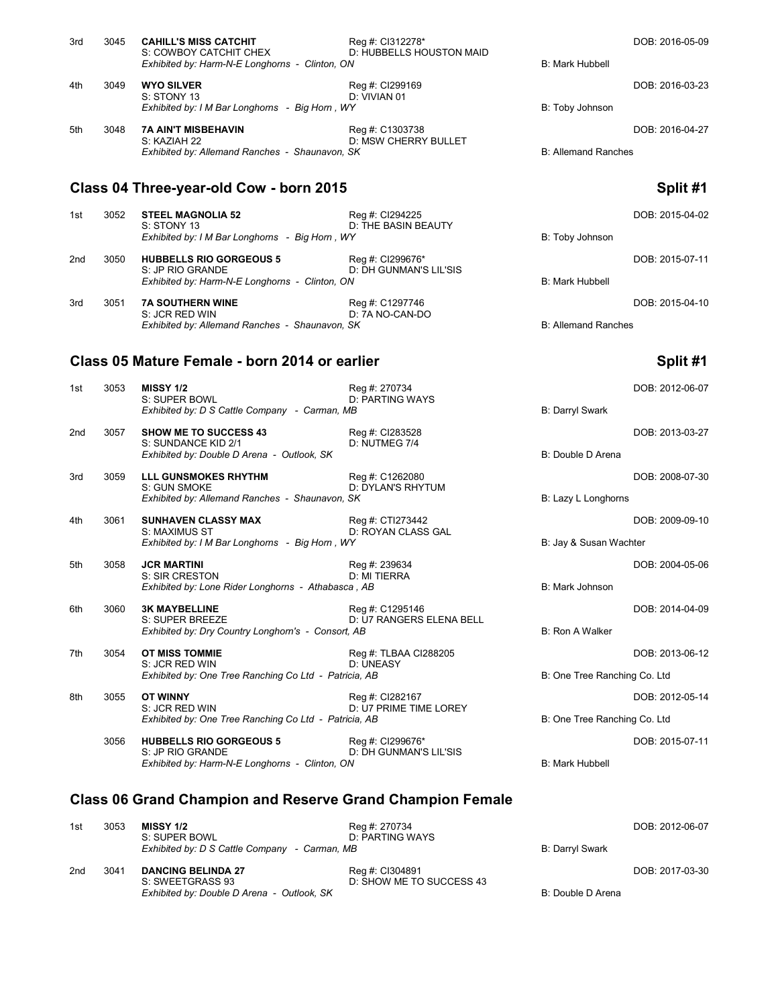|     |      | S: COWBOY CATCHIT CHEX<br>Exhibited by: Harm-N-E Longhorns - Clinton, ON                             | D: HUBBELLS HOUSTON MAID                       | <b>B: Mark Hubbell</b>     |                 |
|-----|------|------------------------------------------------------------------------------------------------------|------------------------------------------------|----------------------------|-----------------|
| 4th | 3049 | <b>WYO SILVER</b><br>S: STONY 13<br>Exhibited by: I M Bar Longhorns - Big Horn, WY                   | Reg #: CI299169<br>D: VIVIAN 01                | B: Toby Johnson            | DOB: 2016-03-23 |
| 5th | 3048 | <b>7A AIN'T MISBEHAVIN</b><br>S: KAZIAH 22<br>Exhibited by: Allemand Ranches - Shaunavon, SK         | Reg #: C1303738<br><b>D: MSW CHERRY BULLET</b> | <b>B: Allemand Ranches</b> | DOB: 2016-04-27 |
|     |      | Class 04 Three-year-old Cow - born 2015                                                              |                                                |                            | Split #1        |
| 1st | 3052 | <b>STEEL MAGNOLIA 52</b><br>S: STONY 13<br>Exhibited by: I M Bar Longhorns - Big Horn, WY            | Reg #: Cl294225<br>D: THE BASIN BEAUTY         | B: Toby Johnson            | DOB: 2015-04-02 |
| 2nd | 3050 | <b>HUBBELLS RIO GORGEOUS 5</b><br>S: JP RIO GRANDE<br>Exhibited by: Harm-N-E Longhorns - Clinton, ON | Reg #: CI299676*<br>D: DH GUNMAN'S LIL'SIS     | <b>B: Mark Hubbell</b>     | DOB: 2015-07-11 |
| 3rd | 3051 | <b>7A SOUTHERN WINE</b><br>S: JCR RED WIN<br>Exhibited by: Allemand Ranches - Shaunavon, SK          | Reg #: C1297746<br>D: 7A NO-CAN-DO             | <b>B: Allemand Ranches</b> | DOB: 2015-04-10 |

3rd 3045 **CAHILL'S MISS CATCHIT** Reg #: CI312278\* DOB: 2016-05-09

# **Class 05 Mature Female - born 2014 or earlier Split #1**

| 1st             | 3053 | <b>MISSY 1/2</b><br>S: SUPER BOWL<br>Exhibited by: D S Cattle Company - Carman, MB                   | Reg #: 270734<br><b>D: PARTING WAYS</b>     | <b>B: Darryl Swark</b>       | DOB: 2012-06-07 |
|-----------------|------|------------------------------------------------------------------------------------------------------|---------------------------------------------|------------------------------|-----------------|
| 2 <sub>nd</sub> | 3057 | <b>SHOW ME TO SUCCESS 43</b><br>S: SUNDANCE KID 2/1<br>Exhibited by: Double D Arena - Outlook, SK    | Reg #: Cl283528<br>D: NUTMEG 7/4            | B: Double D Arena            | DOB: 2013-03-27 |
| 3rd             | 3059 | <b>LLL GUNSMOKES RHYTHM</b><br>S: GUN SMOKE<br>Exhibited by: Allemand Ranches - Shaunavon, SK        | Reg #: C1262080<br><b>D: DYLAN'S RHYTUM</b> | B: Lazy L Longhorns          | DOB: 2008-07-30 |
| 4th             | 3061 | <b>SUNHAVEN CLASSY MAX</b><br>S: MAXIMUS ST<br>Exhibited by: I M Bar Longhorns - Big Horn, WY        | Reg #: CTI273442<br>D: ROYAN CLASS GAL      | B: Jay & Susan Wachter       | DOB: 2009-09-10 |
| 5th             | 3058 | <b>JCR MARTINI</b><br>S: SIR CRESTON<br>Exhibited by: Lone Rider Longhorns - Athabasca, AB           | Reg #: 239634<br>D: MI TIERRA               | <b>B: Mark Johnson</b>       | DOB: 2004-05-06 |
| 6th             | 3060 | <b>3K MAYBELLINE</b><br>S: SUPER BREEZE<br>Exhibited by: Dry Country Longhorn's - Consort, AB        | Reg #: C1295146<br>D: U7 RANGERS ELENA BELL | <b>B: Ron A Walker</b>       | DOB: 2014-04-09 |
| 7th             | 3054 | <b>OT MISS TOMMIE</b><br>S: JCR RED WIN<br>Exhibited by: One Tree Ranching Co Ltd - Patricia, AB     | Reg #: TLBAA CI288205<br>D: UNEASY          | B: One Tree Ranching Co. Ltd | DOB: 2013-06-12 |
| 8th             | 3055 | <b>OT WINNY</b><br>S: JCR RED WIN<br>Exhibited by: One Tree Ranching Co Ltd - Patricia, AB           | Reg #: Cl282167<br>D: U7 PRIME TIME LOREY   | B: One Tree Ranching Co. Ltd | DOB: 2012-05-14 |
|                 | 3056 | <b>HUBBELLS RIO GORGEOUS 5</b><br>S: JP RIO GRANDE<br>Exhibited by: Harm-N-E Longhorns - Clinton, ON | Reg #: CI299676*<br>D: DH GUNMAN'S LIL'SIS  | <b>B: Mark Hubbell</b>       | DOB: 2015-07-11 |
|                 |      |                                                                                                      |                                             |                              |                 |

# **Class 06 Grand Champion and Reserve Grand Champion Female**

| 1st             | 3053 | <b>MISSY 1/2</b><br>S: SUPER BOWL             | Reg #: 270734<br>D: PARTING WAYS            |                   | DOB: 2012-06-07 |
|-----------------|------|-----------------------------------------------|---------------------------------------------|-------------------|-----------------|
|                 |      | Exhibited by: D S Cattle Company - Carman, MB |                                             | B: Darryl Swark   |                 |
| 2 <sub>nd</sub> | 3041 | <b>DANCING BELINDA 27</b><br>S: SWEETGRASS 93 | Reg #: CI304891<br>D: SHOW ME TO SUCCESS 43 |                   | DOB: 2017-03-30 |
|                 |      | Exhibited by: Double D Arena - Outlook, SK    |                                             | B: Double D Arena |                 |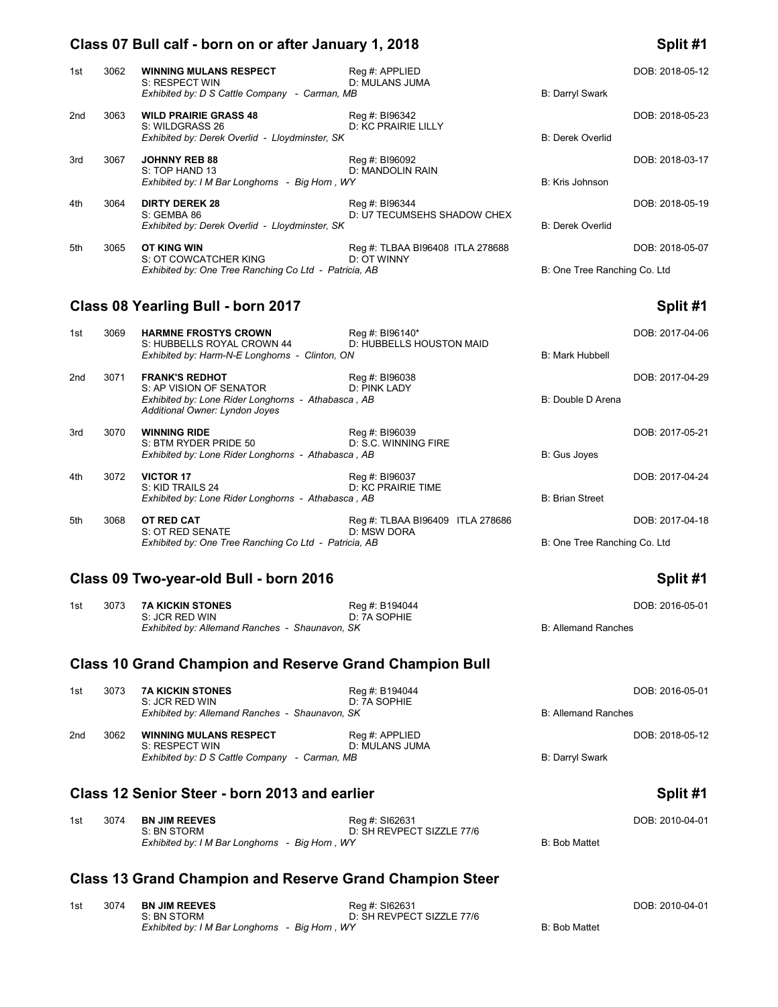### **Class 07 Bull calf - born on or after January 1, 2018 Split #1**

### 1st 3062 **WINNING MULANS RESPECT** Reg #: APPLIED<br>
8: RESPECT WIN D: MULANS JUMA *Exhibited by: D S Cattle Company - Carman, MB* B: Darryl Swark B: Darryl Swark 2nd 3063 **WILD PRAIRIE GRASS 48** Reg #: BI96342 DOB: 2018-05-23 DOB: 2018-05-23 S: WILDGRASS 26 D: KC PRAIRIE LILLY D: KC PRAIRIE LILLY *Exhibited by: Derek Overlid - Lloydminster, SK* B: Derek Overlid 3rd 3067 **JOHNNY REB 88** Reg #: BI96092 DOB: 2018-03-17 D: MANDOLIN RAIN *Exhibited by: I M Bar Longhorns - Big Horn , WY* B: Kris Johnson 4th 3064 **DIRTY DEREK 28** Reg #: BI96344 Reg +: BI96344 Reg +: DOB: 2018-05-19<br>S: GEMBA 86 BILY TECUMSEHS SHADOW CHEX D: U7 TECUMSEHS SHADOW CHEX *Exhibited by: Derek Overlid - Lloydminster, SK* B: Derek Overlid 5th 3065 **OT KING WIN** Reg #: TLBAA BI96408 ITLA 278688 DOB: 2018-05-07<br>S: OT COWCATCHER KING D: OT WINNY S: OT COWCATCHER KING **Exhibited by: One Tree Ranching Co Ltd - Patricia, AB B: Cone Tree Ranching Co. Ltd - Patricia, AB**

## **Class 08 Yearling Bull - born 2017 Split #1**

| 1st | 3069 | <b>HARMNE FROSTYS CROWN</b><br>S: HUBBELLS ROYAL CROWN 44                            | Reg #: BI96140*<br>D: HUBBELLS HOUSTON MAID     |                              | DOB: 2017-04-06 |
|-----|------|--------------------------------------------------------------------------------------|-------------------------------------------------|------------------------------|-----------------|
|     |      | Exhibited by: Harm-N-E Longhorns - Clinton, ON                                       |                                                 | B: Mark Hubbell              |                 |
| 2nd | 3071 | <b>FRANK'S REDHOT</b><br>S: AP VISION OF SENATOR                                     | Reg #: BI96038<br>D: PINK LADY                  |                              | DOB: 2017-04-29 |
|     |      | Exhibited by: Lone Rider Longhorns - Athabasca, AB<br>Additional Owner: Lyndon Joyes |                                                 | B: Double D Arena            |                 |
| 3rd | 3070 | <b>WINNING RIDE</b>                                                                  | Reg #: BI96039                                  |                              | DOB: 2017-05-21 |
|     |      | S: BTM RYDER PRIDE 50<br>Exhibited by: Lone Rider Longhorns - Athabasca, AB          | D: S.C. WINNING FIRE                            | B: Gus Joyes                 |                 |
| 4th | 3072 | <b>VICTOR 17</b>                                                                     | Reg #: BI96037                                  |                              | DOB: 2017-04-24 |
|     |      | S: KID TRAILS 24<br>Exhibited by: Lone Rider Longhorns - Athabasca, AB               | D: KC PRAIRIE TIME                              | <b>B: Brian Street</b>       |                 |
| 5th | 3068 | OT RED CAT<br>S: OT RED SENATE                                                       | Reg #: TLBAA BI96409 ITLA 278686<br>D: MSW DORA |                              | DOB: 2017-04-18 |
|     |      | Exhibited by: One Tree Ranching Co Ltd - Patricia, AB                                |                                                 | B: One Tree Ranching Co. Ltd |                 |

### **Class 09 Two-year-old Bull - born 2016 Split #1**

| 1st | 3073 | 7A KICKIN STONES                               | Reg #: B194044 | DOB: 2016-05-01     |
|-----|------|------------------------------------------------|----------------|---------------------|
|     |      | S: JCR RED WIN                                 | D: 7A SOPHIE   |                     |
|     |      | Exhibited by: Allemand Ranches - Shaunavon, SK |                | B: Allemand Ranches |

## **Class 10 Grand Champion and Reserve Grand Champion Bull**

| 1st | 3073 | <b>7A KICKIN STONES</b><br>S: JCR RED WIN       | Reg #: B194044<br>D: 7A SOPHIE   |                            | DOB: 2016-05-01 |
|-----|------|-------------------------------------------------|----------------------------------|----------------------------|-----------------|
|     |      | Exhibited by: Allemand Ranches - Shaunavon, SK  |                                  | <b>B: Allemand Ranches</b> |                 |
| 2nd | 3062 | <b>WINNING MULANS RESPECT</b><br>S: RESPECT WIN | Reg #: APPLIED<br>D: MULANS JUMA |                            | DOB: 2018-05-12 |
|     |      | Exhibited by: D S Cattle Company - Carman, MB   |                                  | <b>B: Darryl Swark</b>     |                 |

## **Class 12 Senior Steer - born 2013 and earlier Split #1**

| 1st | 3074 BN JIM REEVES                             | Rea #: SI62631            |               | DOB: 2010-04-01 |
|-----|------------------------------------------------|---------------------------|---------------|-----------------|
|     | S: BN STORM                                    | D: SH REVPECT SIZZLE 77/6 |               |                 |
|     | Exhibited by: I M Bar Longhorns - Big Horn, WY |                           | B: Bob Mattet |                 |

## **Class 13 Grand Champion and Reserve Grand Champion Steer**

| 1st | 3074 | <b>BN JIM REEVES</b>                           | Rea #: SI62631            |               | DOB: 2010-04-01 |
|-----|------|------------------------------------------------|---------------------------|---------------|-----------------|
|     |      | S: BN STORM                                    | D: SH REVPECT SIZZLE 77/6 |               |                 |
|     |      | Exhibited by: I M Bar Longhorns - Big Horn, WY |                           | B: Bob Mattet |                 |